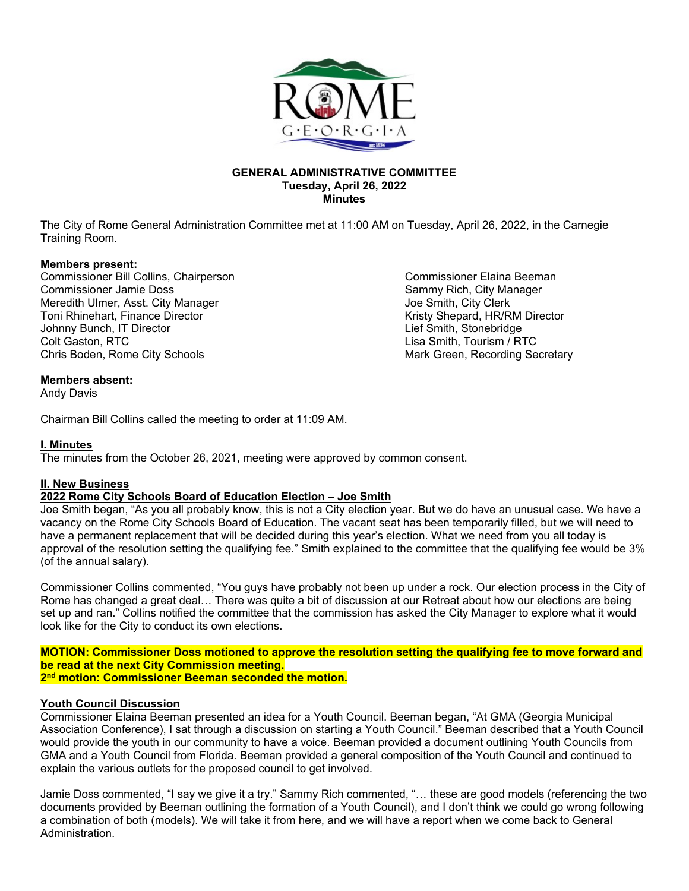

#### **GENERAL ADMINISTRATIVE COMMITTEE Tuesday, April 26, 2022 Minutes**

The City of Rome General Administration Committee met at 11:00 AM on Tuesday, April 26, 2022, in the Carnegie Training Room.

#### **Members present:**

Commissioner Bill Collins, Chairperson Commissioner Elaina Beeman Commissioner Jamie Doss Sammy Rich, City Manager Meredith Ulmer, Asst. City Manager **Joe Smith, City Clerk** Joe Smith, City Clerk Toni Rhinehart, Finance Director and the state of the control of the Kristy Shepard, HR/RM Director Johnny Bunch, IT Director Johnny Bunch, IT Director Colt Gaston, RTC Lisa Smith, Tourism / RTC Chris Boden, Rome City Schools **Mark Green, Recording Secretary** Mark Green, Recording Secretary

#### **Members absent:**

Andy Davis

Chairman Bill Collins called the meeting to order at 11:09 AM.

## **I. Minutes**

The minutes from the October 26, 2021, meeting were approved by common consent.

# **II. New Business**

# **2022 Rome City Schools Board of Education Election – Joe Smith**

Joe Smith began, "As you all probably know, this is not a City election year. But we do have an unusual case. We have a vacancy on the Rome City Schools Board of Education. The vacant seat has been temporarily filled, but we will need to have a permanent replacement that will be decided during this year's election. What we need from you all today is approval of the resolution setting the qualifying fee." Smith explained to the committee that the qualifying fee would be 3% (of the annual salary).

Commissioner Collins commented, "You guys have probably not been up under a rock. Our election process in the City of Rome has changed a great deal… There was quite a bit of discussion at our Retreat about how our elections are being set up and ran." Collins notified the committee that the commission has asked the City Manager to explore what it would look like for the City to conduct its own elections.

**MOTION: Commissioner Doss motioned to approve the resolution setting the qualifying fee to move forward and be read at the next City Commission meeting. 2nd motion: Commissioner Beeman seconded the motion.** 

#### **Youth Council Discussion**

Commissioner Elaina Beeman presented an idea for a Youth Council. Beeman began, "At GMA (Georgia Municipal Association Conference), I sat through a discussion on starting a Youth Council." Beeman described that a Youth Council would provide the youth in our community to have a voice. Beeman provided a document outlining Youth Councils from GMA and a Youth Council from Florida. Beeman provided a general composition of the Youth Council and continued to explain the various outlets for the proposed council to get involved.

Jamie Doss commented, "I say we give it a try." Sammy Rich commented, "… these are good models (referencing the two documents provided by Beeman outlining the formation of a Youth Council), and I don't think we could go wrong following a combination of both (models). We will take it from here, and we will have a report when we come back to General Administration.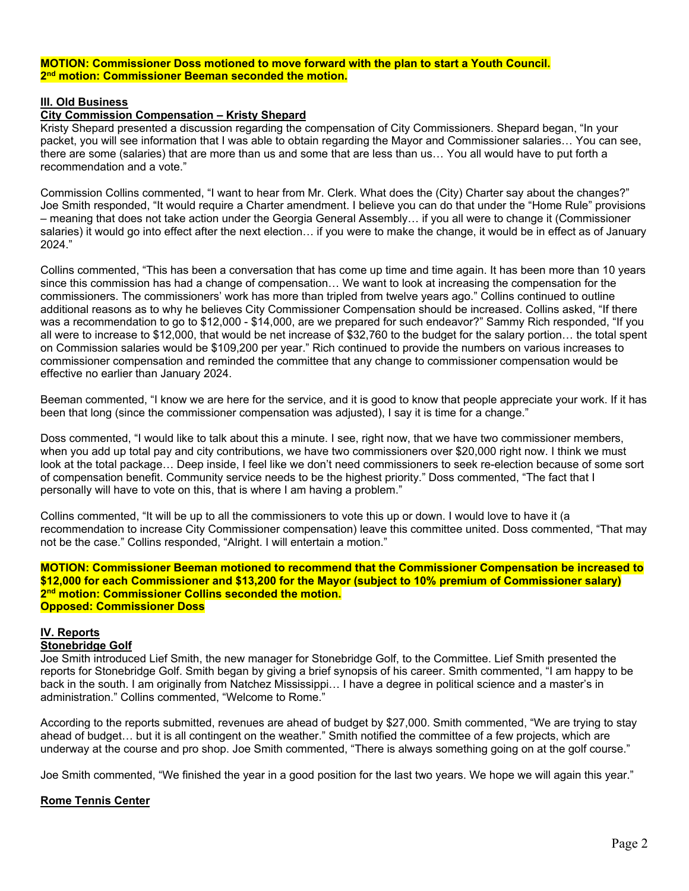#### **MOTION: Commissioner Doss motioned to move forward with the plan to start a Youth Council. 2nd motion: Commissioner Beeman seconded the motion.**

#### **III. Old Business**

#### **City Commission Compensation – Kristy Shepard**

Kristy Shepard presented a discussion regarding the compensation of City Commissioners. Shepard began, "In your packet, you will see information that I was able to obtain regarding the Mayor and Commissioner salaries… You can see, there are some (salaries) that are more than us and some that are less than us… You all would have to put forth a recommendation and a vote."

Commission Collins commented, "I want to hear from Mr. Clerk. What does the (City) Charter say about the changes?" Joe Smith responded, "It would require a Charter amendment. I believe you can do that under the "Home Rule" provisions – meaning that does not take action under the Georgia General Assembly… if you all were to change it (Commissioner salaries) it would go into effect after the next election… if you were to make the change, it would be in effect as of January 2024."

Collins commented, "This has been a conversation that has come up time and time again. It has been more than 10 years since this commission has had a change of compensation… We want to look at increasing the compensation for the commissioners. The commissioners' work has more than tripled from twelve years ago." Collins continued to outline additional reasons as to why he believes City Commissioner Compensation should be increased. Collins asked, "If there was a recommendation to go to \$12,000 - \$14,000, are we prepared for such endeavor?" Sammy Rich responded, "If you all were to increase to \$12,000, that would be net increase of \$32,760 to the budget for the salary portion… the total spent on Commission salaries would be \$109,200 per year." Rich continued to provide the numbers on various increases to commissioner compensation and reminded the committee that any change to commissioner compensation would be effective no earlier than January 2024.

Beeman commented, "I know we are here for the service, and it is good to know that people appreciate your work. If it has been that long (since the commissioner compensation was adjusted), I say it is time for a change."

Doss commented, "I would like to talk about this a minute. I see, right now, that we have two commissioner members, when you add up total pay and city contributions, we have two commissioners over \$20,000 right now. I think we must look at the total package… Deep inside, I feel like we don't need commissioners to seek re-election because of some sort of compensation benefit. Community service needs to be the highest priority." Doss commented, "The fact that I personally will have to vote on this, that is where I am having a problem."

Collins commented, "It will be up to all the commissioners to vote this up or down. I would love to have it (a recommendation to increase City Commissioner compensation) leave this committee united. Doss commented, "That may not be the case." Collins responded, "Alright. I will entertain a motion."

**MOTION: Commissioner Beeman motioned to recommend that the Commissioner Compensation be increased to \$12,000 for each Commissioner and \$13,200 for the Mayor (subject to 10% premium of Commissioner salary)**  2<sup>nd</sup> motion: Commissioner Collins seconded the motion. **Opposed: Commissioner Doss** 

# **IV. Reports**

## **Stonebridge Golf**

Joe Smith introduced Lief Smith, the new manager for Stonebridge Golf, to the Committee. Lief Smith presented the reports for Stonebridge Golf. Smith began by giving a brief synopsis of his career. Smith commented, "I am happy to be back in the south. I am originally from Natchez Mississippi… I have a degree in political science and a master's in administration." Collins commented, "Welcome to Rome."

According to the reports submitted, revenues are ahead of budget by \$27,000. Smith commented, "We are trying to stay ahead of budget… but it is all contingent on the weather." Smith notified the committee of a few projects, which are underway at the course and pro shop. Joe Smith commented, "There is always something going on at the golf course."

Joe Smith commented, "We finished the year in a good position for the last two years. We hope we will again this year."

#### **Rome Tennis Center**